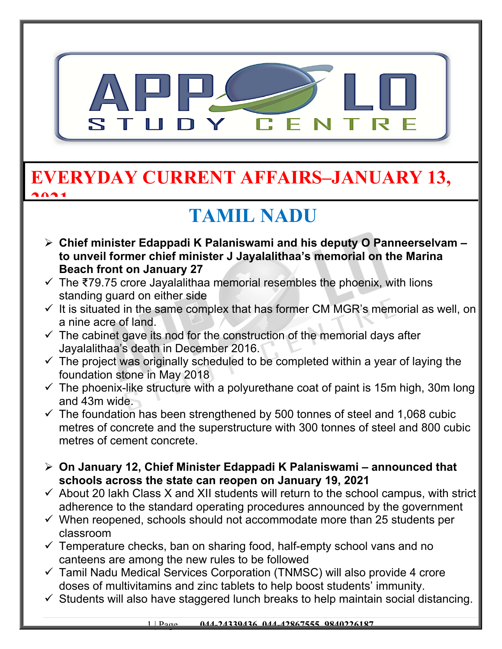

### **EVERYDAY CURRENT AFFAIRS–JANUARY 13, 2021**

# **TAMIL NADU**

- **Chief minister Edappadi K Palaniswami and his deputy O Panneerselvam to unveil former chief minister J Jayalalithaa's memorial on the Marina Beach front on January 27**
- $\checkmark$  The ₹79.75 crore Jayalalithaa memorial resembles the phoenix, with lions standing guard on either side
- $\checkmark$  It is situated in the same complex that has former CM MGR's memorial as well, on a nine acre of land.
- $\checkmark$  The cabinet gave its nod for the construction of the memorial days after Jayalalithaa's death in December 2016.
- $\checkmark$  The project was originally scheduled to be completed within a year of laying the foundation stone in May 2018
- $\checkmark$  The phoenix-like structure with a polyurethane coat of paint is 15m high, 30m long and 43m wide.
- $\checkmark$  The foundation has been strengthened by 500 tonnes of steel and 1,068 cubic metres of concrete and the superstructure with 300 tonnes of steel and 800 cubic metres of cement concrete.
- **On January 12, Chief Minister Edappadi K Palaniswami announced that schools across the state can reopen on January 19, 2021**
- $\checkmark$  About 20 lakh Class X and XII students will return to the school campus, with strict adherence to the standard operating procedures announced by the government
- $\checkmark$  When reopened, schools should not accommodate more than 25 students per classroom
- $\checkmark$  Temperature checks, ban on sharing food, half-empty school vans and no canteens are among the new rules to be followed
- $\checkmark$  Tamil Nadu Medical Services Corporation (TNMSC) will also provide 4 crore doses of multivitamins and zinc tablets to help boost students' immunity.
- $\checkmark$  Students will also have staggered lunch breaks to help maintain social distancing.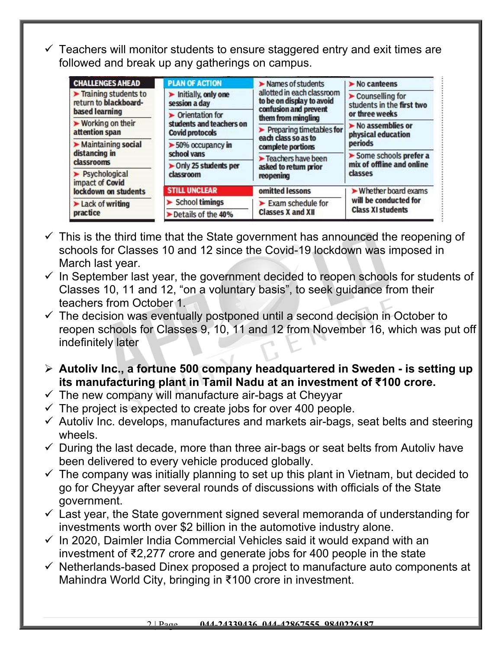$\checkmark$  Teachers will monitor students to ensure staggered entry and exit times are followed and break up any gatherings on campus.

| <b>CHALLENGES AHEAD</b>                                         | <b>PLAN OF ACTION</b>                                 | Names of students                                                     | $\triangleright$ No canteens                                                                                                                                                                               |  |
|-----------------------------------------------------------------|-------------------------------------------------------|-----------------------------------------------------------------------|------------------------------------------------------------------------------------------------------------------------------------------------------------------------------------------------------------|--|
| Training students to<br>return to blackboard-<br>based learning | Initially, only one<br>session a day                  | allotted in each classroom<br>to be on display to avoid               | Counselling for<br>students in the first two<br>or three weeks<br>$\blacktriangleright$ No assemblies or<br>physical education<br>periods<br>Some schools prefer a<br>mix of offline and online<br>classes |  |
|                                                                 | Orientation for                                       | confusion and prevent<br>them from mingling                           |                                                                                                                                                                                                            |  |
| ▶ Working on their<br>attention span                            | students and teachers on<br><b>Covid protocols</b>    | $\blacktriangleright$ Preparing timetables for<br>each class so as to |                                                                                                                                                                                                            |  |
| Maintaining social<br>distancing in<br>classrooms               | $\blacktriangleright$ 50% occupancy in<br>school vans | complete portions                                                     |                                                                                                                                                                                                            |  |
|                                                                 |                                                       | Teachers have been                                                    |                                                                                                                                                                                                            |  |
|                                                                 | > Only 25 students per                                | asked to return prior                                                 |                                                                                                                                                                                                            |  |
| > Psychological<br>impact of Covid                              | classroom                                             | reopening                                                             |                                                                                                                                                                                                            |  |
| lockdown on students                                            | <b>STILL UNCLEAR</b>                                  | omitted lessons                                                       | Whether board exams<br>will be conducted for<br><b>Class XI students</b>                                                                                                                                   |  |
| Lack of writing<br>practice                                     | <b>School timings</b>                                 | $\blacktriangleright$ Exam schedule for                               |                                                                                                                                                                                                            |  |
|                                                                 | Details of the 40%                                    | <b>Classes X and XII</b>                                              |                                                                                                                                                                                                            |  |

- $\checkmark$  This is the third time that the State government has announced the reopening of schools for Classes 10 and 12 since the Covid-19 lockdown was imposed in March last year.
- $\checkmark$  In September last year, the government decided to reopen schools for students of Classes 10, 11 and 12, "on a voluntary basis", to seek guidance from their teachers from October 1.
- $\checkmark$  The decision was eventually postponed until a second decision in October to reopen schools for Classes 9, 10, 11 and 12 from November 16, which was put off indefinitely later
- **Autoliv Inc., a fortune 500 company headquartered in Sweden is setting up its manufacturing plant in Tamil Nadu at an investment of ₹100 crore.**
- $\checkmark$  The new company will manufacture air-bags at Cheyyar
- $\checkmark$  The project is expected to create jobs for over 400 people.
- $\checkmark$  Autoliv Inc. develops, manufactures and markets air-bags, seat belts and steering wheels.
- $\checkmark$  During the last decade, more than three air-bags or seat belts from Autoliv have been delivered to every vehicle produced globally.
- $\checkmark$  The company was initially planning to set up this plant in Vietnam, but decided to go for Cheyyar after several rounds of discussions with officials of the State government.
- $\checkmark$  Last year, the State government signed several memoranda of understanding for investments worth over \$2 billion in the automotive industry alone.
- $\checkmark$  In 2020, Daimler India Commercial Vehicles said it would expand with an investment of ₹2,277 crore and generate jobs for 400 people in the state
- $\checkmark$  Netherlands-based Dinex proposed a project to manufacture auto components at Mahindra World City, bringing in ₹100 crore in investment.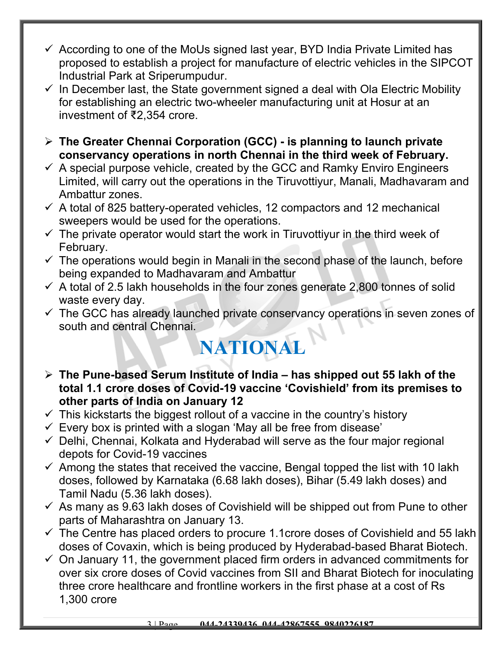- $\checkmark$  According to one of the MoUs signed last year, BYD India Private Limited has proposed to establish a project for manufacture of electric vehicles in the SIPCOT Industrial Park at Sriperumpudur.
- $\checkmark$  In December last, the State government signed a deal with Ola Electric Mobility for establishing an electric two-wheeler manufacturing unit at Hosur at an investment of ₹2,354 crore.
- **The Greater Chennai Corporation (GCC) is planning to launch private conservancy operations in north Chennai in the third week of February.**
- $\checkmark$  A special purpose vehicle, created by the GCC and Ramky Enviro Engineers Limited, will carry out the operations in the Tiruvottiyur, Manali, Madhavaram and Ambattur zones.
- $\checkmark$  A total of 825 battery-operated vehicles, 12 compactors and 12 mechanical sweepers would be used for the operations.
- $\checkmark$  The private operator would start the work in Tiruvottivur in the third week of February.
- $\checkmark$  The operations would begin in Manali in the second phase of the launch, before being expanded to Madhavaram and Ambattur
- $\checkmark$  A total of 2.5 lakh households in the four zones generate 2,800 tonnes of solid waste every day.
- $\checkmark$  The GCC has already launched private conservancy operations in seven zones of south and central Chennai.

## **NATIONA**

- **The Pune-based Serum Institute of India has shipped out 55 lakh of the total 1.1 crore doses of Covid-19 vaccine 'Covishield' from its premises to other parts of India on January 12**
- $\checkmark$  This kickstarts the biggest rollout of a vaccine in the country's history
- $\checkmark$  Every box is printed with a slogan 'May all be free from disease'
- $\checkmark$  Delhi, Chennai, Kolkata and Hyderabad will serve as the four major regional depots for Covid-19 vaccines
- $\checkmark$  Among the states that received the vaccine, Bengal topped the list with 10 lakh doses, followed by Karnataka (6.68 lakh doses), Bihar (5.49 lakh doses) and Tamil Nadu (5.36 lakh doses).
- $\checkmark$  As many as 9.63 lakh doses of Covishield will be shipped out from Pune to other parts of Maharashtra on January 13.
- $\checkmark$  The Centre has placed orders to procure 1.1crore doses of Covishield and 55 lakh doses of Covaxin, which is being produced by Hyderabad-based Bharat Biotech.
- $\checkmark$  On January 11, the government placed firm orders in advanced commitments for over six crore doses of Covid vaccines from SII and Bharat Biotech for inoculating three crore healthcare and frontline workers in the first phase at a cost of Rs 1,300 crore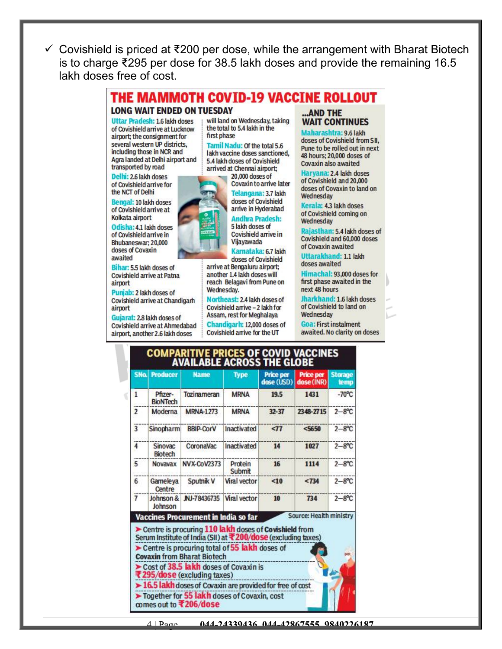Covishield is priced at ₹200 per dose, while the arrangement with Bharat Biotech is to charge ₹295 per dose for 38.5 lakh doses and provide the remaining 16.5 lakh doses free of cost.



Kerala: 4.3 lakh doses Wednesday

Rajasthan: 5.4 lakh doses of Covishield and 60,000 doses of Covaxin awaited

**Uttarakhand: 1.1 lakh** doses awaited

first phase awaited in the next 48 hours

of Covishield to land on Wednesday

**Goa: First instalment** awaited. No clarity on doses

Bengal: 10 lakh doses of Covishield arrive at Kolkata airport

Odisha: 4.1 lakh doses of Covishield arrive in Bhubaneswar: 20,000 doses of Covaxin awaited

Bihar: 5.5 lakh doses of Covishield arrive at Patna airport

Punjab: 2 lakh doses of Covishield arrive at Chandigarh airport

Gujarat: 2.8 lakh doses of Covishield arrive at Ahmedabad airport, another 2.6 lakh doses



doses of Covishield arrive in Hyderabad

**Andhra Pradesh:** 5 lakh doses of Covishield arrive in Vijayawada

Karnataka: 6.7 lakh doses of Covishield arrive at Bengaluru airport; another 1.4 lakh doses will reach Belagavi from Pune on Wednesday.

Northeast: 2.4 lakh doses of Covishield arrive - 2 lakh for Assam, rest for Meghalaya

Chandigarh: 12,000 doses of Covishield arrive for the UT

#### **COMPARITIVE PRICES OF COVID VACCINES** AVAILABLE ACROSS THE GLOBE **Price per Price per Storage**

|                |                            |                                                                                                                                                                                                                 |                   | dose (USD) | dose (INR)              | temp             |
|----------------|----------------------------|-----------------------------------------------------------------------------------------------------------------------------------------------------------------------------------------------------------------|-------------------|------------|-------------------------|------------------|
| 1              | Pfizer-<br><b>BioNTech</b> | Tozinameran                                                                                                                                                                                                     | <b>MRNA</b>       | 19.5       | 1431                    | $-70^{\circ}$ C  |
| $\overline{2}$ | Moderna                    | <b>MRNA-1273</b>                                                                                                                                                                                                | <b>MRNA</b>       | $32 - 37$  | 2348-2715               | $2 - 8^{\circ}C$ |
| 3              | <b>Sinopharm</b>           | <b>BBIP-CorV</b>                                                                                                                                                                                                | Inactivated       | 577        | 5650                    | $2 - 8$ °C       |
| 4              | Sinovac<br><b>Biotech</b>  | CoronaVac                                                                                                                                                                                                       | Inactivated       | 14         | 1027                    | $2 - 8^{\circ}C$ |
| 5              | Novavax                    | <b>NVX-CoV2373</b>                                                                                                                                                                                              | Protein<br>Submit | 16         | 1114                    | $2 - 8^{\circ}C$ |
| 6              | Gameleya<br>Centre         | Sputnik V                                                                                                                                                                                                       | Viral vector      | $10$       | < 734                   | $2 - 8^{\circ}C$ |
| $\overline{7}$ | Johnson                    | Johnson & JNJ-78436735                                                                                                                                                                                          | Viral vector      | 10         | 734                     | $2 - 8^{\circ}C$ |
|                |                            | Vaccines Procurement in India so far<br>Centre is procuring 110 lakh doses of Covishield from<br>Serum Institute of India (SII) at ₹200/dose (excluding taxes)<br>Centre is procuring total of 55 lakh doses of |                   |            | Source: Health ministry |                  |
|                |                            | <b>Covaxin from Bharat Biotech</b>                                                                                                                                                                              |                   |            |                         |                  |
|                |                            | Cost of 38.5 lakh doses of Covaxin is<br>₹295/dose (excluding taxes)                                                                                                                                            |                   |            |                         |                  |
|                |                            | > 16.5 lakh doses of Covaxin are provided for free of cost                                                                                                                                                      |                   |            |                         |                  |
|                |                            | Together for 55 lakh doses of Covaxin, cost<br>mmes out to #206/dose                                                                                                                                            |                   |            |                         |                  |

Wednesday

of Covishield coming on

Himachal: 93,000 doses for

Jharkhand: 1.6 lakh doses



4 | Page **044-24339436, 044-42867555, 9840226187**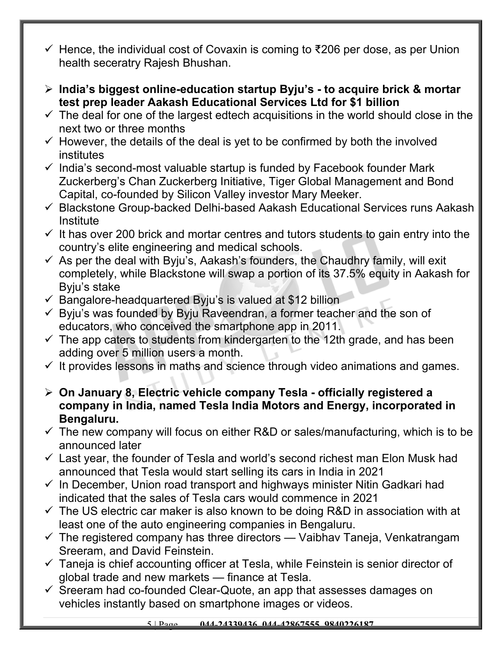- $\checkmark$  Hence, the individual cost of Covaxin is coming to ₹206 per dose, as per Union health seceratry Rajesh Bhushan.
- **India's biggest online-education startup Byju's to acquire brick & mortar test prep leader Aakash Educational Services Ltd for \$1 billion**
- $\checkmark$  The deal for one of the largest edtech acquisitions in the world should close in the next two or three months
- $\checkmark$  However, the details of the deal is yet to be confirmed by both the involved institutes
- $\checkmark$  India's second-most valuable startup is funded by Facebook founder Mark Zuckerberg's Chan Zuckerberg Initiative, Tiger Global Management and Bond Capital, co-founded by Silicon Valley investor Mary Meeker.
- $\checkmark$  Blackstone Group-backed Delhi-based Aakash Educational Services runs Aakash **Institute**
- $\checkmark$  It has over 200 brick and mortar centres and tutors students to gain entry into the country's elite engineering and medical schools.
- $\checkmark$  As per the deal with Byju's, Aakash's founders, the Chaudhry family, will exit completely, while Blackstone will swap a portion of its 37.5% equity in Aakash for Byju's stake
- $\checkmark$  Bangalore-headquartered Byju's is valued at \$12 billion
- $\checkmark$  Byju's was founded by Byju Raveendran, a former teacher and the son of educators, who conceived the smartphone app in 2011.
- $\checkmark$  The app caters to students from kindergarten to the 12th grade, and has been adding over 5 million users a month.
- $\checkmark$  It provides lessons in maths and science through video animations and games.
- **On January 8, Electric vehicle company Tesla officially registered a company in India, named Tesla India Motors and Energy, incorporated in Bengaluru.**
- $\checkmark$  The new company will focus on either R&D or sales/manufacturing, which is to be announced later
- $\checkmark$  Last year, the founder of Tesla and world's second richest man Elon Musk had announced that Tesla would start selling its cars in India in 2021
- $\checkmark$  In December, Union road transport and highways minister Nitin Gadkari had indicated that the sales of Tesla cars would commence in 2021
- $\checkmark$  The US electric car maker is also known to be doing R&D in association with at least one of the auto engineering companies in Bengaluru.
- $\checkmark$  The registered company has three directors Vaibhav Taneja, Venkatrangam Sreeram, and David Feinstein.
- $\checkmark$  Taneja is chief accounting officer at Tesla, while Feinstein is senior director of global trade and new markets — finance at Tesla.
- $\checkmark$  Sreeram had co-founded Clear-Quote, an app that assesses damages on vehicles instantly based on smartphone images or videos.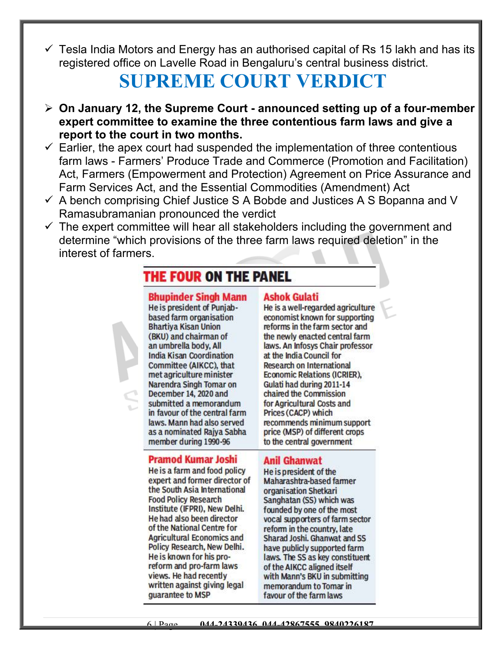$\checkmark$  Tesla India Motors and Energy has an authorised capital of Rs 15 lakh and has its registered office on Lavelle Road in Bengaluru's central business district.

## **SUPREME COURT VERDICT**

- **On January 12, the Supreme Court announced setting up of a four-member expert committee to examine the three contentious farm laws and give a report to the court in two months.**
- $\checkmark$  Earlier, the apex court had suspended the implementation of three contentious farm laws - Farmers' Produce Trade and Commerce (Promotion and Facilitation) Act, Farmers (Empowerment and Protection) Agreement on Price Assurance and Farm Services Act, and the Essential Commodities (Amendment) Act
- $\checkmark$  A bench comprising Chief Justice S A Bobde and Justices A S Bopanna and V Ramasubramanian pronounced the verdict
- $\checkmark$  The expert committee will hear all stakeholders including the government and determine "which provisions of the three farm laws required deletion" in the interest of farmers.

### THE FOUR ON THE PANEL

#### **Bhupinder Singh Mann**

He is president of Puniabbased farm organisation **Bhartiya Kisan Union** (BKU) and chairman of an umbrella body, All **India Kisan Coordination** Committee (AIKCC), that met agriculture minister Narendra Singh Tomar on December 14, 2020 and submitted a memorandum in favour of the central farm laws. Mann had also served as a nominated Rajya Sabha member during 1990-96

#### **Pramod Kumar Joshi**

He is a farm and food policy expert and former director of the South Asia International **Food Policy Research** Institute (IFPRI), New Delhi. He had also been director of the National Centre for **Agricultural Economics and** Policy Research, New Delhi. He is known for his proreform and pro-farm laws views. He had recently written against giving legal quarantee to MSP

#### **Ashok Gulati**

He is a well-regarded agriculture economist known for supporting reforms in the farm sector and the newly enacted central farm laws. An Infosys Chair professor at the India Council for **Research on International Economic Relations (ICRIER),** Gulati had during 2011-14 chaired the Commission for Agricultural Costs and Prices (CACP) which recommends minimum support price (MSP) of different crops to the central government

#### **Anil Ghanwat**

He is president of the Maharashtra-based farmer organisation Shetkari Sanghatan (SS) which was founded by one of the most vocal supporters of farm sector reform in the country, late Sharad Joshi, Ghanwat and SS have publicly supported farm laws. The SS as key constituent of the AIKCC aligned itself with Mann's BKU in submitting memorandum to Tomar in favour of the farm laws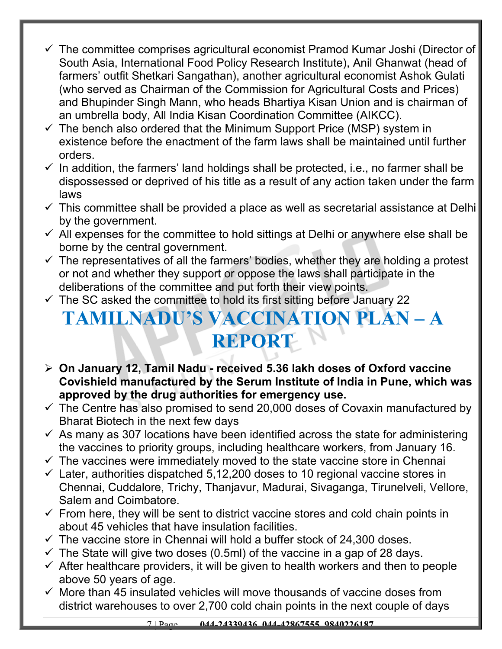- The committee comprises agricultural economist Pramod Kumar Joshi (Director of South Asia, International Food Policy Research Institute), Anil Ghanwat (head of farmers' outfit Shetkari Sangathan), another agricultural economist Ashok Gulati (who served as Chairman of the Commission for Agricultural Costs and Prices) and Bhupinder Singh Mann, who heads Bhartiya Kisan Union and is chairman of an umbrella body, All India Kisan Coordination Committee (AIKCC).
- $\checkmark$  The bench also ordered that the Minimum Support Price (MSP) system in existence before the enactment of the farm laws shall be maintained until further orders.
- $\checkmark$  In addition, the farmers' land holdings shall be protected, i.e., no farmer shall be dispossessed or deprived of his title as a result of any action taken under the farm laws
- $\checkmark$  This committee shall be provided a place as well as secretarial assistance at Delhi by the government.
- $\checkmark$  All expenses for the committee to hold sittings at Delhi or anywhere else shall be borne by the central government.
- $\checkmark$  The representatives of all the farmers' bodies, whether they are holding a protest or not and whether they support or oppose the laws shall participate in the deliberations of the committee and put forth their view points.
- $\checkmark$  The SC asked the committee to hold its first sitting before January 22

## **TAMILNADU'S VACCINATION PLAN – A REPORT**

- **On January 12, Tamil Nadu received 5.36 lakh doses of Oxford vaccine Covishield manufactured by the Serum Institute of India in Pune, which was approved by the drug authorities for emergency use.**
- $\checkmark$  The Centre has also promised to send 20,000 doses of Covaxin manufactured by Bharat Biotech in the next few days
- $\checkmark$  As many as 307 locations have been identified across the state for administering the vaccines to priority groups, including healthcare workers, from January 16.
- $\checkmark$  The vaccines were immediately moved to the state vaccine store in Chennai
- $\checkmark$  Later, authorities dispatched 5,12,200 doses to 10 regional vaccine stores in Chennai, Cuddalore, Trichy, Thanjavur, Madurai, Sivaganga, Tirunelveli, Vellore, Salem and Coimbatore.
- $\checkmark$  From here, they will be sent to district vaccine stores and cold chain points in about 45 vehicles that have insulation facilities.
- $\checkmark$  The vaccine store in Chennai will hold a buffer stock of 24,300 doses.
- $\checkmark$  The State will give two doses (0.5ml) of the vaccine in a gap of 28 days.
- $\checkmark$  After healthcare providers, it will be given to health workers and then to people above 50 years of age.
- $\checkmark$  More than 45 insulated vehicles will move thousands of vaccine doses from district warehouses to over 2,700 cold chain points in the next couple of days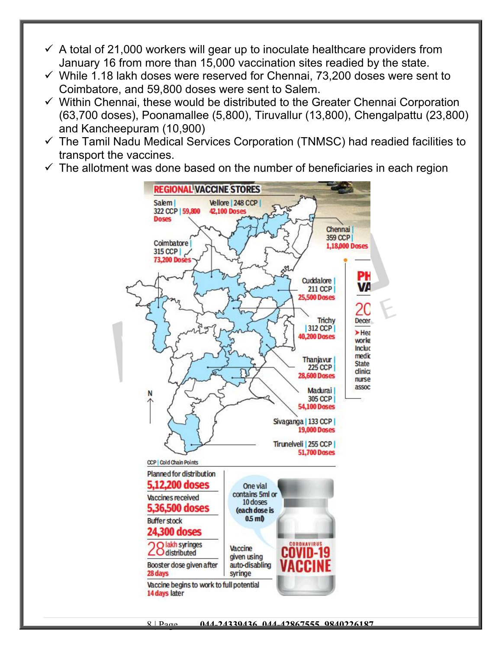- $\checkmark$  A total of 21,000 workers will gear up to inoculate healthcare providers from January 16 from more than 15,000 vaccination sites readied by the state.
- $\checkmark$  While 1.18 lakh doses were reserved for Chennai, 73,200 doses were sent to Coimbatore, and 59,800 doses were sent to Salem.
- $\checkmark$  Within Chennai, these would be distributed to the Greater Chennai Corporation (63,700 doses), Poonamallee (5,800), Tiruvallur (13,800), Chengalpattu (23,800) and Kancheepuram (10,900)
- $\checkmark$  The Tamil Nadu Medical Services Corporation (TNMSC) had readied facilities to transport the vaccines.
- $\checkmark$  The allotment was done based on the number of beneficiaries in each region